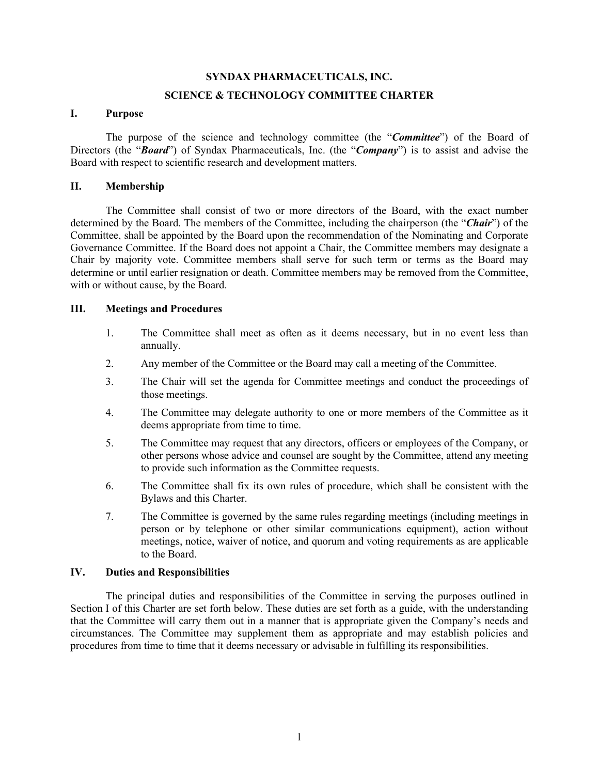#### **SYNDAX PHARMACEUTICALS, INC.**

### **SCIENCE & TECHNOLOGY COMMITTEE CHARTER**

## **I. Purpose**

The purpose of the science and technology committee (the "*Committee*") of the Board of Directors (the "*Board*") of Syndax Pharmaceuticals, Inc. (the "*Company*") is to assist and advise the Board with respect to scientific research and development matters.

### **II. Membership**

The Committee shall consist of two or more directors of the Board, with the exact number determined by the Board. The members of the Committee, including the chairperson (the "*Chair*") of the Committee, shall be appointed by the Board upon the recommendation of the Nominating and Corporate Governance Committee. If the Board does not appoint a Chair, the Committee members may designate a Chair by majority vote. Committee members shall serve for such term or terms as the Board may determine or until earlier resignation or death. Committee members may be removed from the Committee, with or without cause, by the Board.

# **III. Meetings and Procedures**

- 1. The Committee shall meet as often as it deems necessary, but in no event less than annually.
- 2. Any member of the Committee or the Board may call a meeting of the Committee.
- 3. The Chair will set the agenda for Committee meetings and conduct the proceedings of those meetings.
- 4. The Committee may delegate authority to one or more members of the Committee as it deems appropriate from time to time.
- 5. The Committee may request that any directors, officers or employees of the Company, or other persons whose advice and counsel are sought by the Committee, attend any meeting to provide such information as the Committee requests.
- 6. The Committee shall fix its own rules of procedure, which shall be consistent with the Bylaws and this Charter.
- 7. The Committee is governed by the same rules regarding meetings (including meetings in person or by telephone or other similar communications equipment), action without meetings, notice, waiver of notice, and quorum and voting requirements as are applicable to the Board.

### **IV. Duties and Responsibilities**

The principal duties and responsibilities of the Committee in serving the purposes outlined in Section I of this Charter are set forth below. These duties are set forth as a guide, with the understanding that the Committee will carry them out in a manner that is appropriate given the Company's needs and circumstances. The Committee may supplement them as appropriate and may establish policies and procedures from time to time that it deems necessary or advisable in fulfilling its responsibilities.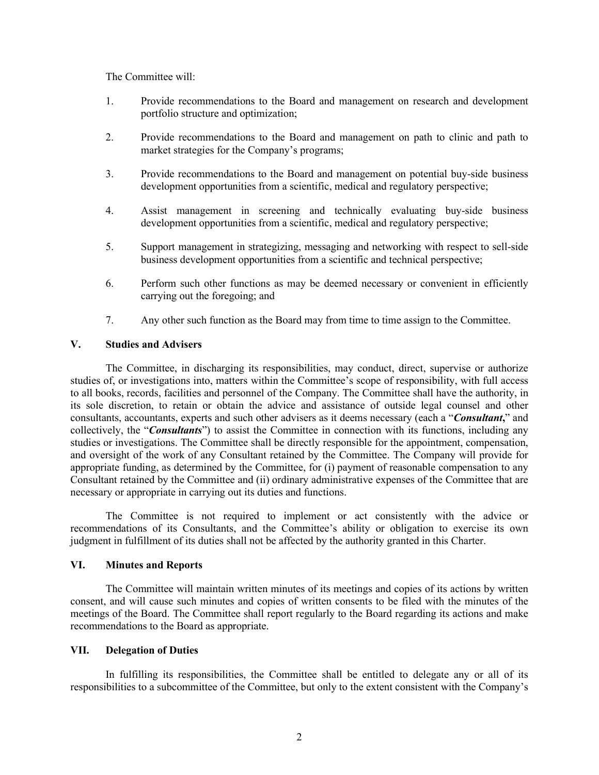The Committee will:

- 1. Provide recommendations to the Board and management on research and development portfolio structure and optimization;
- 2. Provide recommendations to the Board and management on path to clinic and path to market strategies for the Company's programs;
- 3. Provide recommendations to the Board and management on potential buy-side business development opportunities from a scientific, medical and regulatory perspective;
- 4. Assist management in screening and technically evaluating buy-side business development opportunities from a scientific, medical and regulatory perspective;
- 5. Support management in strategizing, messaging and networking with respect to sell-side business development opportunities from a scientific and technical perspective;
- 6. Perform such other functions as may be deemed necessary or convenient in efficiently carrying out the foregoing; and
- 7. Any other such function as the Board may from time to time assign to the Committee.

## **V. Studies and Advisers**

The Committee, in discharging its responsibilities, may conduct, direct, supervise or authorize studies of, or investigations into, matters within the Committee's scope of responsibility, with full access to all books, records, facilities and personnel of the Company. The Committee shall have the authority, in its sole discretion, to retain or obtain the advice and assistance of outside legal counsel and other consultants, accountants, experts and such other advisers as it deems necessary (each a "*Consultant***,**" and collectively, the "*Consultants*") to assist the Committee in connection with its functions, including any studies or investigations. The Committee shall be directly responsible for the appointment, compensation, and oversight of the work of any Consultant retained by the Committee. The Company will provide for appropriate funding, as determined by the Committee, for (i) payment of reasonable compensation to any Consultant retained by the Committee and (ii) ordinary administrative expenses of the Committee that are necessary or appropriate in carrying out its duties and functions.

The Committee is not required to implement or act consistently with the advice or recommendations of its Consultants, and the Committee's ability or obligation to exercise its own judgment in fulfillment of its duties shall not be affected by the authority granted in this Charter.

## **VI. Minutes and Reports**

The Committee will maintain written minutes of its meetings and copies of its actions by written consent, and will cause such minutes and copies of written consents to be filed with the minutes of the meetings of the Board. The Committee shall report regularly to the Board regarding its actions and make recommendations to the Board as appropriate.

#### **VII. Delegation of Duties**

In fulfilling its responsibilities, the Committee shall be entitled to delegate any or all of its responsibilities to a subcommittee of the Committee, but only to the extent consistent with the Company's